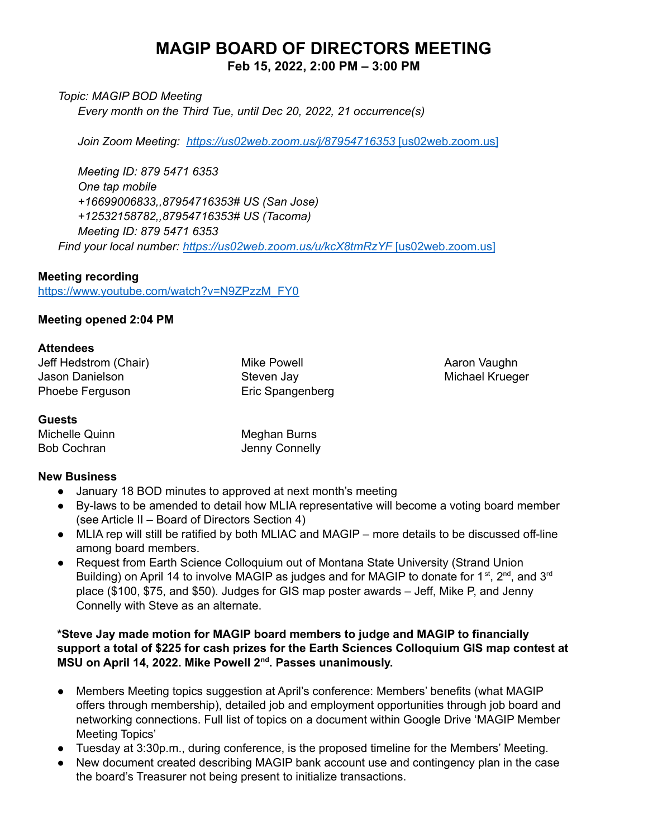# **MAGIP BOARD OF DIRECTORS MEETING**

**Feb 15, 2022, 2:00 PM – 3:00 PM**

*Topic: MAGIP BOD Meeting*

*Every month on the Third Tue, until Dec 20, 2022, 21 occurrence(s)*

*Join Zoom Meeting: [https://us02web.zoom.us/j/87954716353](https://urldefense.com/v3/__https:/us02web.zoom.us/j/87954716353__;!!GaaboA!-ZorRnAwQpRCyzSjWWQGAVuNUqCYuOYv1IysjayHa0myV1qZ0IC28bPaztldfZCu$)* [us02web.zoom.us]

*Meeting ID: 879 5471 6353 One tap mobile +16699006833,,87954716353# US (San Jose) +12532158782,,87954716353# US (Tacoma) Meeting ID: 879 5471 6353 Find your local number: [https://us02web.zoom.us/u/kcX8tmRzYF](https://urldefense.com/v3/__https:/us02web.zoom.us/u/kcX8tmRzYF__;!!GaaboA!-ZorRnAwQpRCyzSjWWQGAVuNUqCYuOYv1IysjayHa0myV1qZ0IC28bPazsO6suQO$)* [us02web.zoom.us]

## **Meeting recording**

[https://www.youtube.com/watch?v=N9ZPzzM\\_FY0](https://www.youtube.com/watch?v=N9ZPzzM_FY0)

#### **Meeting opened 2:04 PM**

#### **Attendees**

Jeff Hedstrom (Chair) Jason Danielson Phoebe Ferguson

Mike Powell Steven Jay Eric Spangenberg Aaron Vaughn Michael Krueger

#### **Guests**

Michelle Quinn Bob Cochran

Meghan Burns Jenny Connelly

## **New Business**

- January 18 BOD minutes to approved at next month's meeting
- By-laws to be amended to detail how MLIA representative will become a voting board member (see Article II – Board of Directors Section 4)
- MLIA rep will still be ratified by both MLIAC and MAGIP more details to be discussed off-line among board members.
- Request from Earth Science Colloquium out of Montana State University (Strand Union Building) on April 14 to involve MAGIP as judges and for MAGIP to donate for 1<sup>st</sup>, 2<sup>nd</sup>, and 3<sup>rd</sup> place (\$100, \$75, and \$50). Judges for GIS map poster awards – Jeff, Mike P, and Jenny Connelly with Steve as an alternate.

## **\*Steve Jay made motion for MAGIP board members to judge and MAGIP to financially support a total of \$225 for cash prizes for the Earth Sciences Colloquium GIS map contest at MSU on April 14, 2022. Mike Powell 2 nd . Passes unanimously.**

- Members Meeting topics suggestion at April's conference: Members' benefits (what MAGIP offers through membership), detailed job and employment opportunities through job board and networking connections. Full list of topics on a document within Google Drive 'MAGIP Member Meeting Topics'
- Tuesday at 3:30p.m., during conference, is the proposed timeline for the Members' Meeting.
- New document created describing MAGIP bank account use and contingency plan in the case the board's Treasurer not being present to initialize transactions.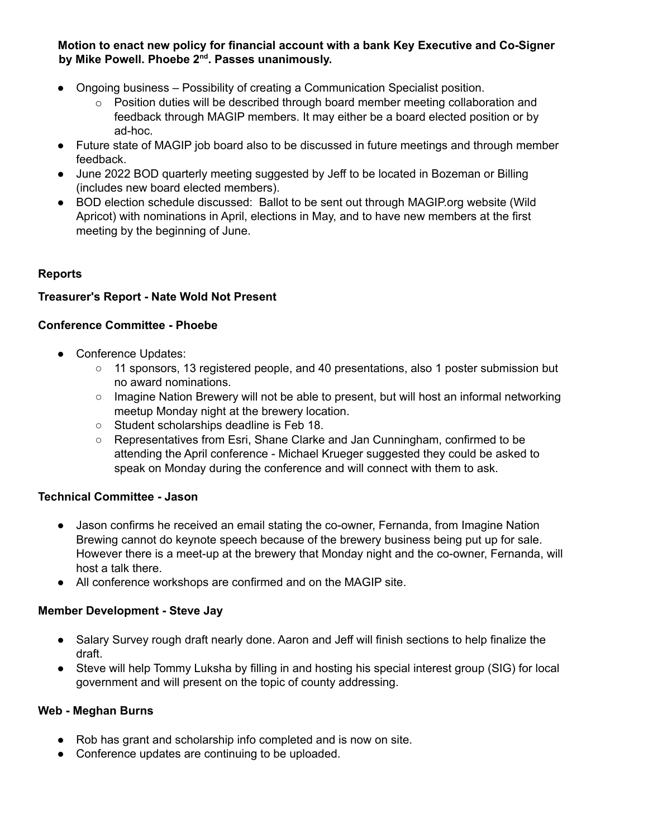**Motion to enact new policy for financial account with a bank Key Executive and Co-Signer by Mike Powell. Phoebe 2 nd . Passes unanimously.**

- Ongoing business Possibility of creating a Communication Specialist position.
	- $\circ$  Position duties will be described through board member meeting collaboration and feedback through MAGIP members. It may either be a board elected position or by ad-hoc.
- Future state of MAGIP job board also to be discussed in future meetings and through member feedback.
- June 2022 BOD quarterly meeting suggested by Jeff to be located in Bozeman or Billing (includes new board elected members).
- BOD election schedule discussed: Ballot to be sent out through MAGIP.org website (Wild Apricot) with nominations in April, elections in May, and to have new members at the first meeting by the beginning of June.

## **Reports**

## **Treasurer's Report - Nate Wold Not Present**

## **Conference Committee - Phoebe**

- Conference Updates:
	- 11 sponsors, 13 registered people, and 40 presentations, also 1 poster submission but no award nominations.
	- Imagine Nation Brewery will not be able to present, but will host an informal networking meetup Monday night at the brewery location.
	- Student scholarships deadline is Feb 18.
	- Representatives from Esri, Shane Clarke and Jan Cunningham, confirmed to be attending the April conference - Michael Krueger suggested they could be asked to speak on Monday during the conference and will connect with them to ask.

## **Technical Committee - Jason**

- Jason confirms he received an email stating the co-owner, Fernanda, from Imagine Nation Brewing cannot do keynote speech because of the brewery business being put up for sale. However there is a meet-up at the brewery that Monday night and the co-owner, Fernanda, will host a talk there.
- All conference workshops are confirmed and on the MAGIP site.

## **Member Development - Steve Jay**

- Salary Survey rough draft nearly done. Aaron and Jeff will finish sections to help finalize the draft.
- Steve will help Tommy Luksha by filling in and hosting his special interest group (SIG) for local government and will present on the topic of county addressing.

## **Web - Meghan Burns**

- Rob has grant and scholarship info completed and is now on site.
- Conference updates are continuing to be uploaded.